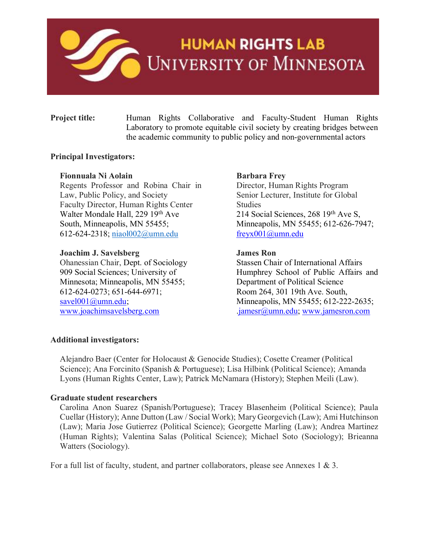

# **HUMAN RIGHTS LAB** UNIVERSITY OF MINNESOTA

**Project title:** Human Rights Collaborative and Faculty-Student Human Rights Laboratory to promote equitable civil society by creating bridges between the academic community to public policy and non-governmental actors

#### **Principal Investigators:**

#### **Fionnuala Ni Aolain**

Regents Professor and Robina Chair in Law, Public Policy, and Society Faculty Director, Human Rights Center Walter Mondale Hall, 229 19th Ave South, Minneapolis, MN 55455; 612-624-2318; [niaol002@umn.edu](mailto:niaol002@umn.edu)

#### **Joachim J. Savelsberg**

Ohanessian Chair, Dept. of Sociology 909 Social Sciences; University of Minnesota; Minneapolis, MN 55455; 612-624-0273; 651-644-6971; [savel001@umn.edu;](mailto:savel001@umn.edu) [www.joachimsavelsberg.com](http://www.joachimsavelsberg.com/)

#### **Barbara Frey**

Director, Human Rights Program Senior Lecturer, Institute for Global **Studies** 214 Social Sciences, 268 19<sup>th</sup> Ave S, Minneapolis, MN 55455; 612-626-7947; [freyx001@umn.edu](mailto:freyx001@umn.edu)

#### **James Ron**

Stassen Chair of International Affairs Humphrey School of Public Affairs and Department of Political Science Room 264, 301 19th Ave. South, Minneapolis, MN 55455; 612-222-2635; [.jamesr@umn.edu;](mailto:jamesr@umn.edu) [www.jamesron.com](http://www.jamesron.com/)

#### **Additional investigators:**

Alejandro Baer (Center for Holocaust & Genocide Studies); Cosette Creamer (Political Science); Ana Forcinito (Spanish & Portuguese); Lisa Hilbink (Political Science); Amanda Lyons (Human Rights Center, Law); Patrick McNamara (History); Stephen Meili (Law).

#### **Graduate student researchers**

Carolina Anon Suarez (Spanish/Portuguese); Tracey Blasenheim (Political Science); Paula Cuellar (History); Anne Dutton (Law / Social Work); Mary Georgevich (Law); Ami Hutchinson (Law); Maria Jose Gutierrez (Political Science); Georgette Marling (Law); Andrea Martinez (Human Rights); Valentina Salas (Political Science); Michael Soto (Sociology); Brieanna Watters (Sociology).

For a full list of faculty, student, and partner collaborators, please see Annexes 1 & 3.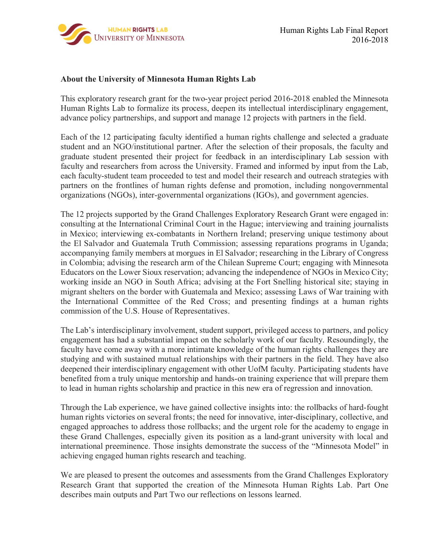

#### **About the University of Minnesota Human Rights Lab**

This exploratory research grant for the two-year project period 2016-2018 enabled the Minnesota Human Rights Lab to formalize its process, deepen its intellectual interdisciplinary engagement, advance policy partnerships, and support and manage 12 projects with partners in the field.

Each of the 12 participating faculty identified a human rights challenge and selected a graduate student and an NGO/institutional partner. After the selection of their proposals, the faculty and graduate student presented their project for feedback in an interdisciplinary Lab session with faculty and researchers from across the University. Framed and informed by input from the Lab, each faculty-student team proceeded to test and model their research and outreach strategies with partners on the frontlines of human rights defense and promotion, including nongovernmental organizations (NGOs), inter-governmental organizations (IGOs), and government agencies.

The 12 projects supported by the Grand Challenges Exploratory Research Grant were engaged in: consulting at the International Criminal Court in the Hague; interviewing and training journalists in Mexico; interviewing ex-combatants in Northern Ireland; preserving unique testimony about the El Salvador and Guatemala Truth Commission; assessing reparations programs in Uganda; accompanying family members at morgues in El Salvador; researching in the Library of Congress in Colombia; advising the research arm of the Chilean Supreme Court; engaging with Minnesota Educators on the Lower Sioux reservation; advancing the independence of NGOs in Mexico City; working inside an NGO in South Africa; advising at the Fort Snelling historical site; staying in migrant shelters on the border with Guatemala and Mexico; assessing Laws of War training with the International Committee of the Red Cross; and presenting findings at a human rights commission of the U.S. House of Representatives.

The Lab's interdisciplinary involvement, student support, privileged access to partners, and policy engagement has had a substantial impact on the scholarly work of our faculty. Resoundingly, the faculty have come away with a more intimate knowledge of the human rights challenges they are studying and with sustained mutual relationships with their partners in the field. They have also deepened their interdisciplinary engagement with other UofM faculty. Participating students have benefited from a truly unique mentorship and hands-on training experience that will prepare them to lead in human rights scholarship and practice in this new era of regression and innovation.

Through the Lab experience, we have gained collective insights into: the rollbacks of hard-fought human rights victories on several fronts; the need for innovative, inter-disciplinary, collective, and engaged approaches to address those rollbacks; and the urgent role for the academy to engage in these Grand Challenges, especially given its position as a land-grant university with local and international preeminence. Those insights demonstrate the success of the "Minnesota Model" in achieving engaged human rights research and teaching.

We are pleased to present the outcomes and assessments from the Grand Challenges Exploratory Research Grant that supported the creation of the Minnesota Human Rights Lab. Part One describes main outputs and Part Two our reflections on lessons learned.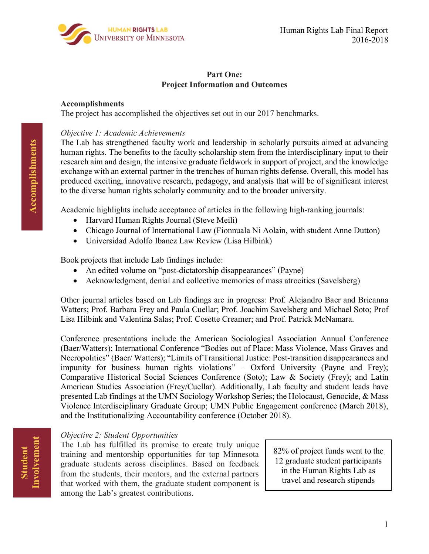

#### **Part One: Project Information and Outcomes**

#### **Accomplishments**

The project has accomplished the objectives set out in our 2017 benchmarks.

#### *Objective 1: Academic Achievements*

The Lab has strengthened faculty work and leadership in scholarly pursuits aimed at advancing human rights. The benefits to the faculty scholarship stem from the interdisciplinary input to their research aim and design, the intensive graduate fieldwork in support of project, and the knowledge exchange with an external partner in the trenches of human rights defense. Overall, this model has produced exciting, innovative research, pedagogy, and analysis that will be of significant interest to the diverse human rights scholarly community and to the broader university.

Academic highlights include acceptance of articles in the following high-ranking journals:

- Harvard Human Rights Journal (Steve Meili)
- Chicago Journal of International Law (Fionnuala Ni Aolain, with student Anne Dutton)
- Universidad Adolfo Ibanez Law Review (Lisa Hilbink)

Book projects that include Lab findings include:

- An edited volume on "post-dictatorship disappearances" (Payne)
- Acknowledgment, denial and collective memories of mass atrocities (Savelsberg)

Other journal articles based on Lab findings are in progress: Prof. Alejandro Baer and Brieanna Watters; Prof. Barbara Frey and Paula Cuellar; Prof. Joachim Savelsberg and Michael Soto; Prof Lisa Hilbink and Valentina Salas; Prof. Cosette Creamer; and Prof. Patrick McNamara.

Conference presentations include the American Sociological Association Annual Conference (Baer/Watters); International Conference "Bodies out of Place: Mass Violence, Mass Graves and Necropolitics" (Baer/ Watters); "Limits of Transitional Justice: Post-transition disappearances and impunity for business human rights violations" – Oxford University (Payne and Frey); Comparative Historical Social Sciences Conference (Soto); Law & Society (Frey); and Latin American Studies Association (Frey/Cuellar). Additionally, Lab faculty and student leads have presented Lab findings at the UMN Sociology Workshop Series; the Holocaust, Genocide, & Mass Violence Interdisciplinary Graduate Group; UMN Public Engagement conference (March 2018), and the Institutionalizing Accountability conference (October 2018).

#### *Objective 2: Student Opportunities*

The Lab has fulfilled its promise to create truly unique training and mentorship opportunities for top Minnesota graduate students across disciplines. Based on feedback from the students, their mentors, and the external partners that worked with them, the graduate student component is among the Lab's greatest contributions.

82% of project funds went to the 12 graduate student participants in the Human Rights Lab as travel and research stipends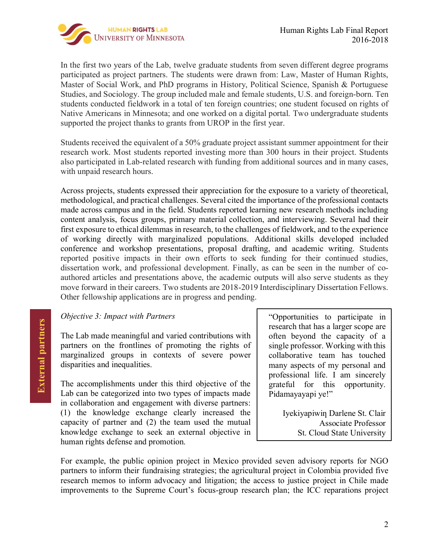

In the first two years of the Lab, twelve graduate students from seven different degree programs participated as project partners. The students were drawn from: Law, Master of Human Rights, Master of Social Work, and PhD programs in History, Political Science, Spanish & Portuguese Studies, and Sociology. The group included male and female students, U.S. and foreign-born. Ten students conducted fieldwork in a total of ten foreign countries; one student focused on rights of Native Americans in Minnesota; and one worked on a digital portal. Two undergraduate students supported the project thanks to grants from UROP in the first year.

Students received the equivalent of a 50% graduate project assistant summer appointment for their research work. Most students reported investing more than 300 hours in their project. Students also participated in Lab-related research with funding from additional sources and in many cases, with unpaid research hours.

Across projects, students expressed their appreciation for the exposure to a variety of theoretical, methodological, and practical challenges. Several cited the importance of the professional contacts made across campus and in the field. Students reported learning new research methods including content analysis, focus groups, primary material collection, and interviewing. Several had their first exposure to ethical dilemmas in research, to the challenges of fieldwork, and to the experience of working directly with marginalized populations. Additional skills developed included conference and workshop presentations, proposal drafting, and academic writing. Students reported positive impacts in their own efforts to seek funding for their continued studies, dissertation work, and professional development. Finally, as can be seen in the number of coauthored articles and presentations above, the academic outputs will also serve students as they move forward in their careers. Two students are 2018-2019 Interdisciplinary Dissertation Fellows. Other fellowship applications are in progress and pending.

#### *Objective 3: Impact with Partners*

The Lab made meaningful and varied contributions with partners on the frontlines of promoting the rights of marginalized groups in contexts of severe power disparities and inequalities.

The accomplishments under this third objective of the Lab can be categorized into two types of impacts made in collaboration and engagement with diverse partners: (1) the knowledge exchange clearly increased the capacity of partner and (2) the team used the mutual knowledge exchange to seek an external objective in human rights defense and promotion.

"Opportunities to participate in research that has a larger scope are often beyond the capacity of a single professor. Working with this collaborative team has touched many aspects of my personal and professional life. I am sincerely grateful for this opportunity. Pidamayayapi ye!"

> Iyekiyapiwiƞ Darlene St. Clair Associate Professor St. Cloud State University

For example, the public opinion project in Mexico provided seven advisory reports for NGO partners to inform their fundraising strategies; the agricultural project in Colombia provided five research memos to inform advocacy and litigation; the access to justice project in Chile made improvements to the Supreme Court's focus-group research plan; the ICC reparations project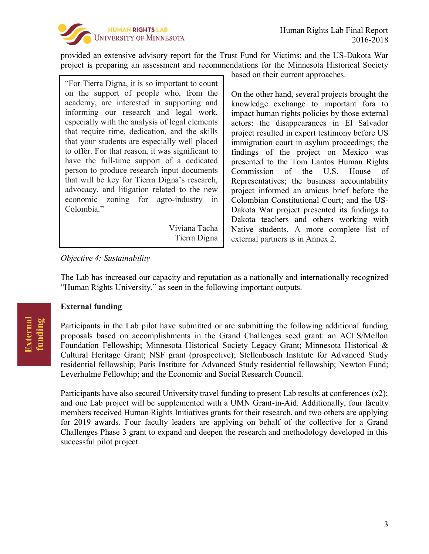

provided an extensive advisory report for the Trust Fund for Victims; and the US-Dakota War project is preparing an assessment and recommendations for the Minnesota Historical Society

"For Tierra Digna, it is so important to count on the support of people who, from the academy, are interested in supporting and informing our research and legal work, especially with the analysis of legal elements that require time, dedication, and the skills that your students are especially well placed to offer. For that reason, it was significant to have the full-time support of a dedicated person to produce research input documents that will be key for Tierra Digna's research, advocacy, and litigation related to the new economic zoning for agro-industry in Colombia."

> Viviana Tacha Tierra Digna

*Objective 4: Sustainability*

based on their current approaches.

On the other hand, several projects brought the knowledge exchange to important fora to impact human rights policies by those external actors: the disappearances in El Salvador project resulted in expert testimony before US immigration court in asylum proceedings; the findings of the project on Mexico was presented to the Tom Lantos Human Rights Commission of the U.S. House of Representatives; the business accountability project informed an amicus brief before the Colombian Constitutional Court; and the US-Dakota War project presented its findings to Dakota teachers and others working with Native students. A more complete list of external partners is in Annex 2.

The Lab has increased our capacity and reputation as a nationally and internationally recognized "Human Rights University," as seen in the following important outputs.

#### **External funding**

Participants in the Lab pilot have submitted or are submitting the following additional funding proposals based on accomplishments in the Grand Challenges seed grant: an ACLS/Mellon Foundation Fellowship; Minnesota Historical Society Legacy Grant; Minnesota Historical & Cultural Heritage Grant; NSF grant (prospective); Stellenbosch Institute for Advanced Study residential fellowship; Paris Institute for Advanced Study residential fellowship; Newton Fund; Leverhulme Fellowhip; and the Economic and Social Research Council.

Participants have also secured University travel funding to present Lab results at conferences  $(x2)$ ; and one Lab project will be supplemented with a UMN Grant-in-Aid. Additionally, four faculty members received Human Rights Initiatives grants for their research, and two others are applying for 2019 awards. Four faculty leaders are applying on behalf of the collective for a Grand Challenges Phase 3 grant to expand and deepen the research and methodology developed in this successful pilot project.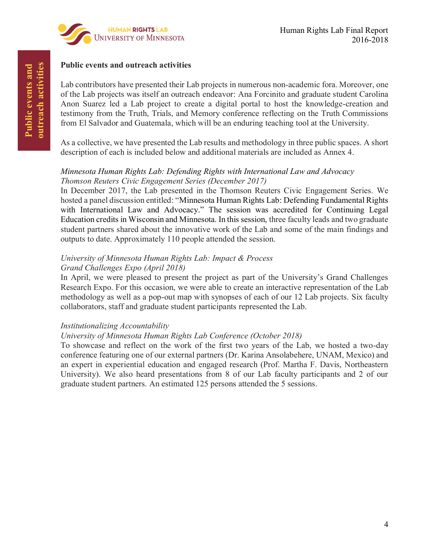

#### **Public events and outreach activities**

Lab contributors have presented their Lab projects in numerous non-academic fora. Moreover, one of the Lab projects was itself an outreach endeavor: Ana Forcinito and graduate student Carolina Anon Suarez led a Lab project to create a digital portal to host the knowledge-creation and testimony from the Truth, Trials, and Memory conference reflecting on the Truth Commissions from El Salvador and Guatemala, which will be an enduring teaching tool at the University.

As a collective, we have presented the Lab results and methodology in three public spaces. A short description of each is included below and additional materials are included as Annex 4.

#### *Minnesota Human Rights Lab: Defending Rights with International Law and Advocacy Thomson Reuters Civic Engagement Series (December 2017)*

In December 2017, the Lab presented in the Thomson Reuters Civic Engagement Series. We hosted a panel discussion entitled: "Minnesota Human Rights Lab: Defending Fundamental Rights with International Law and Advocacy." The session was accredited for Continuing Legal Education credits in Wisconsin and Minnesota. In this session, three faculty leads and two graduate student partners shared about the innovative work of the Lab and some of the main findings and outputs to date. Approximately 110 people attended the session.

#### *University of Minnesota Human Rights Lab: Impact & Process Grand Challenges Expo (April 2018)*

In April, we were pleased to present the project as part of the University's Grand Challenges Research Expo. For this occasion, we were able to create an interactive representation of the Lab methodology as well as a pop-out map with synopses of each of our 12 Lab projects. Six faculty collaborators, staff and graduate student participants represented the Lab.

#### *Institutionalizing Accountability*

#### *University of Minnesota Human Rights Lab Conference (October 2018)*

To showcase and reflect on the work of the first two years of the Lab, we hosted a two-day conference featuring one of our external partners (Dr. Karina Ansolabehere, UNAM, Mexico) and an expert in experiential education and engaged research (Prof. Martha F. Davis, Northeastern University). We also heard presentations from 8 of our Lab faculty participants and 2 of our graduate student partners. An estimated 125 persons attended the 5 sessions.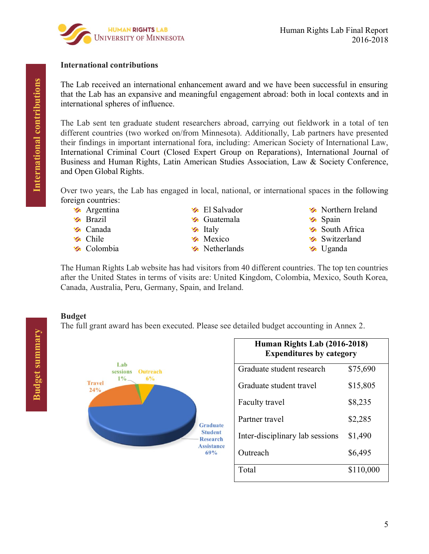

#### **International contributions**

The Lab received an international enhancement award and we have been successful in ensuring that the Lab has an expansive and meaningful engagement abroad: both in local contexts and in international spheres of influence.

The Lab sent ten graduate student researchers abroad, carrying out fieldwork in a total of ten different countries (two worked on/from Minnesota). Additionally, Lab partners have presented their findings in important international fora, including: American Society of International Law, International Criminal Court (Closed Expert Group on Reparations), International Journal of Business and Human Rights, Latin American Studies Association, Law & Society Conference, and Open Global Rights.

Over two years, the Lab has engaged in local, national, or international spaces in the following foreign countries:

- **Argentina**
- **S** Brazil
- **S** Canada
- **S** Chile
- **S** Colombia
- **S** El Salvador
- **S** Guatemala
- $\mathcal{F}$  Italy
- **Mexico**
- **S** Netherlands
- **S** Northern Ireland **Spain** South Africa
- **Switzerland**
- **S** Uganda

The Human Rights Lab website has had visitors from 40 different countries. The top ten countries after the United States in terms of visits are: United Kingdom, Colombia, Mexico, South Korea, Canada, Australia, Peru, Germany, Spain, and Ireland.

#### **Budget**

The full grant award has been executed. Please see detailed budget accounting in Annex 2.



| Human Rights Lab (2016-2018)<br><b>Expenditures by category</b> |           |  |
|-----------------------------------------------------------------|-----------|--|
| Graduate student research                                       | \$75,690  |  |
| Graduate student travel                                         | \$15,805  |  |
| Faculty travel                                                  | \$8,235   |  |
| Partner travel                                                  | \$2,285   |  |
| Inter-disciplinary lab sessions                                 | \$1,490   |  |
| Outreach                                                        | \$6,495   |  |
| Total                                                           | \$110,000 |  |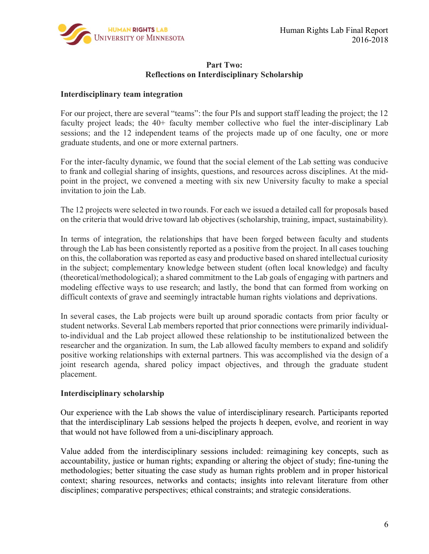

#### **Part Two: Reflections on Interdisciplinary Scholarship**

#### **Interdisciplinary team integration**

For our project, there are several "teams": the four PIs and support staff leading the project; the 12 faculty project leads; the 40+ faculty member collective who fuel the inter-disciplinary Lab sessions; and the 12 independent teams of the projects made up of one faculty, one or more graduate students, and one or more external partners.

For the inter-faculty dynamic, we found that the social element of the Lab setting was conducive to frank and collegial sharing of insights, questions, and resources across disciplines. At the midpoint in the project, we convened a meeting with six new University faculty to make a special invitation to join the Lab.

The 12 projects were selected in two rounds. For each we issued a detailed call for proposals based on the criteria that would drive toward lab objectives (scholarship, training, impact, sustainability).

In terms of integration, the relationships that have been forged between faculty and students through the Lab has been consistently reported as a positive from the project. In all cases touching on this, the collaboration was reported as easy and productive based on shared intellectual curiosity in the subject; complementary knowledge between student (often local knowledge) and faculty (theoretical/methodological); a shared commitment to the Lab goals of engaging with partners and modeling effective ways to use research; and lastly, the bond that can formed from working on difficult contexts of grave and seemingly intractable human rights violations and deprivations.

In several cases, the Lab projects were built up around sporadic contacts from prior faculty or student networks. Several Lab members reported that prior connections were primarily individualto-individual and the Lab project allowed these relationship to be institutionalized between the researcher and the organization. In sum, the Lab allowed faculty members to expand and solidify positive working relationships with external partners. This was accomplished via the design of a joint research agenda, shared policy impact objectives, and through the graduate student placement.

#### **Interdisciplinary scholarship**

Our experience with the Lab shows the value of interdisciplinary research. Participants reported that the interdisciplinary Lab sessions helped the projects h deepen, evolve, and reorient in way that would not have followed from a uni-disciplinary approach.

Value added from the interdisciplinary sessions included: reimagining key concepts, such as accountability, justice or human rights; expanding or altering the object of study; fine-tuning the methodologies; better situating the case study as human rights problem and in proper historical context; sharing resources, networks and contacts; insights into relevant literature from other disciplines; comparative perspectives; ethical constraints; and strategic considerations.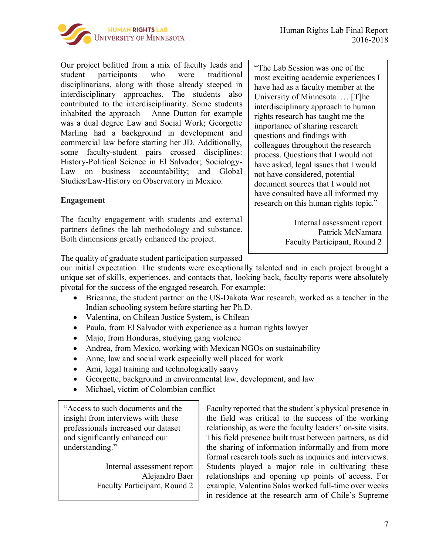

Our project befitted from a mix of faculty leads and student participants who were traditional disciplinarians, along with those already steeped in interdisciplinary approaches. The students also contributed to the interdisciplinarity. Some students inhabited the approach – Anne Dutton for example was a dual degree Law and Social Work; Georgette Marling had a background in development and commercial law before starting her JD. Additionally, some faculty-student pairs crossed disciplines: History-Political Science in El Salvador; Sociology-Law on business accountability; and Global Studies/Law-History on Observatory in Mexico.

#### **Engagement**

The faculty engagement with students and external partners defines the lab methodology and substance. Both dimensions greatly enhanced the project.

"The Lab Session was one of the most exciting academic experiences I have had as a faculty member at the University of Minnesota. … [T]he interdisciplinary approach to human rights research has taught me the importance of sharing research questions and findings with colleagues throughout the research process. Questions that I would not have asked, legal issues that I would not have considered, potential document sources that I would not have consulted have all informed my research on this human rights topic."

> Internal assessment report Patrick McNamara Faculty Participant, Round 2

The quality of graduate student participation surpassed

our initial expectation. The students were exceptionally talented and in each project brought a unique set of skills, experiences, and contacts that, looking back, faculty reports were absolutely pivotal for the success of the engaged research. For example:

- Brieanna, the student partner on the US-Dakota War research, worked as a teacher in the Indian schooling system before starting her Ph.D.
- Valentina, on Chilean Justice System, is Chilean
- Paula, from El Salvador with experience as a human rights lawyer
- Majo, from Honduras, studying gang violence
- Andrea, from Mexico, working with Mexican NGOs on sustainability
- Anne, law and social work especially well placed for work
- Ami, legal training and technologically saavy
- Georgette, background in environmental law, development, and law
- Michael, victim of Colombian conflict

"Access to such documents and the insight from interviews with these professionals increased our dataset and significantly enhanced our understanding."

> Internal assessment report Alejandro Baer Faculty Participant, Round 2

Faculty reported that the student's physical presence in the field was critical to the success of the working relationship, as were the faculty leaders' on-site visits. This field presence built trust between partners, as did the sharing of information informally and from more formal research tools such as inquiries and interviews. Students played a major role in cultivating these relationships and opening up points of access. For example, Valentina Salas worked full-time over weeks in residence at the research arm of Chile's Supreme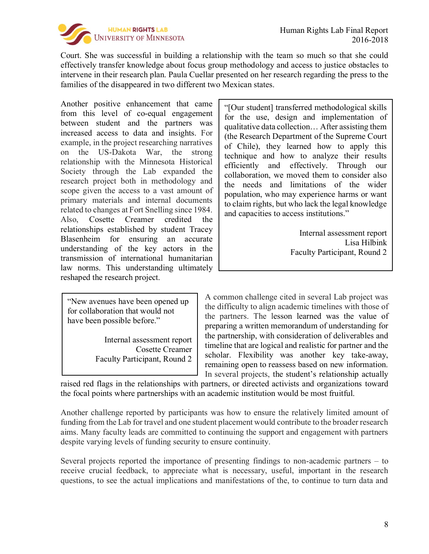

Court. She was successful in building a relationship with the team so much so that she could effectively transfer knowledge about focus group methodology and access to justice obstacles to intervene in their research plan. Paula Cuellar presented on her research regarding the press to the families of the disappeared in two different two Mexican states.

Another positive enhancement that came from this level of co-equal engagement between student and the partners was increased access to data and insights. For example, in the project researching narratives on the US-Dakota War, the strong relationship with the Minnesota Historical Society through the Lab expanded the research project both in methodology and scope given the access to a vast amount of primary materials and internal documents related to changes at Fort Snelling since 1984. Also, Cosette Creamer credited the relationships established by student Tracey Blasenheim for ensuring an accurate understanding of the key actors in the transmission of international humanitarian law norms. This understanding ultimately reshaped the research project.

"New avenues have been opened up for collaboration that would not have been possible before."

> Internal assessment report Cosette Creamer Faculty Participant, Round 2

"[Our student] transferred methodological skills for the use, design and implementation of qualitative data collection… After assisting them (the Research Department of the Supreme Court of Chile), they learned how to apply this technique and how to analyze their results efficiently and effectively. Through our collaboration, we moved them to consider also the needs and limitations of the wider population, who may experience harms or want to claim rights, but who lack the legal knowledge and capacities to access institutions."

> Internal assessment report Lisa Hilbink Faculty Participant, Round 2

A common challenge cited in several Lab project was the difficulty to align academic timelines with those of the partners. The lesson learned was the value of preparing a written memorandum of understanding for the partnership, with consideration of deliverables and timeline that are logical and realistic for partner and the scholar. Flexibility was another key take-away, remaining open to reassess based on new information. In several projects, the student's relationship actually

raised red flags in the relationships with partners, or directed activists and organizations toward the focal points where partnerships with an academic institution would be most fruitful.

Another challenge reported by participants was how to ensure the relatively limited amount of funding from the Lab for travel and one student placement would contribute to the broader research aims. Many faculty leads are committed to continuing the support and engagement with partners despite varying levels of funding security to ensure continuity.

Several projects reported the importance of presenting findings to non-academic partners – to receive crucial feedback, to appreciate what is necessary, useful, important in the research questions, to see the actual implications and manifestations of the, to continue to turn data and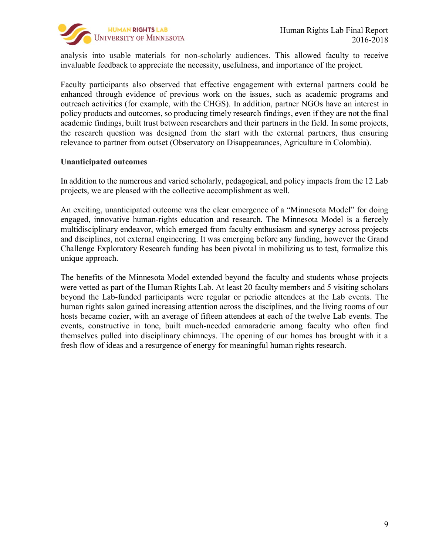

analysis into usable materials for non-scholarly audiences. This allowed faculty to receive invaluable feedback to appreciate the necessity, usefulness, and importance of the project.

Faculty participants also observed that effective engagement with external partners could be enhanced through evidence of previous work on the issues, such as academic programs and outreach activities (for example, with the CHGS). In addition, partner NGOs have an interest in policy products and outcomes, so producing timely research findings, even if they are not the final academic findings, built trust between researchers and their partners in the field. In some projects, the research question was designed from the start with the external partners, thus ensuring relevance to partner from outset (Observatory on Disappearances, Agriculture in Colombia).

#### **Unanticipated outcomes**

In addition to the numerous and varied scholarly, pedagogical, and policy impacts from the 12 Lab projects, we are pleased with the collective accomplishment as well.

An exciting, unanticipated outcome was the clear emergence of a "Minnesota Model" for doing engaged, innovative human-rights education and research. The Minnesota Model is a fiercely multidisciplinary endeavor, which emerged from faculty enthusiasm and synergy across projects and disciplines, not external engineering. It was emerging before any funding, however the Grand Challenge Exploratory Research funding has been pivotal in mobilizing us to test, formalize this unique approach.

The benefits of the Minnesota Model extended beyond the faculty and students whose projects were vetted as part of the Human Rights Lab. At least 20 faculty members and 5 visiting scholars beyond the Lab-funded participants were regular or periodic attendees at the Lab events. The human rights salon gained increasing attention across the disciplines, and the living rooms of our hosts became cozier, with an average of fifteen attendees at each of the twelve Lab events. The events, constructive in tone, built much-needed camaraderie among faculty who often find themselves pulled into disciplinary chimneys. The opening of our homes has brought with it a fresh flow of ideas and a resurgence of energy for meaningful human rights research.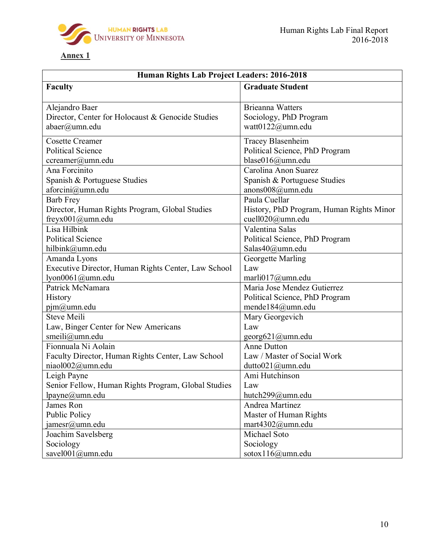

# **Annex 1**

| Human Rights Lab Project Leaders: 2016-2018         |                                          |  |  |
|-----------------------------------------------------|------------------------------------------|--|--|
| <b>Faculty</b>                                      | <b>Graduate Student</b>                  |  |  |
| Alejandro Baer                                      | <b>Brieanna Watters</b>                  |  |  |
| Director, Center for Holocaust & Genocide Studies   | Sociology, PhD Program                   |  |  |
| abaer@umn.edu                                       | watt0122@umn.edu                         |  |  |
| <b>Cosette Creamer</b>                              | Tracey Blasenheim                        |  |  |
| <b>Political Science</b>                            | Political Science, PhD Program           |  |  |
| ccreamer@umn.edu                                    | blase016@umn.edu                         |  |  |
| Ana Forcinito                                       | Carolina Anon Suarez                     |  |  |
| Spanish & Portuguese Studies                        | Spanish & Portuguese Studies             |  |  |
| aforcini@umn.edu                                    | anons008@umn.edu                         |  |  |
| <b>Barb Frey</b>                                    | Paula Cuellar                            |  |  |
| Director, Human Rights Program, Global Studies      | History, PhD Program, Human Rights Minor |  |  |
| freyx001@umn.edu                                    | cuell020@umn.edu                         |  |  |
| Lisa Hilbink                                        | Valentina Salas                          |  |  |
| <b>Political Science</b>                            | Political Science, PhD Program           |  |  |
| hilbink@umn.edu                                     | Salas40@umn.edu                          |  |  |
| Amanda Lyons                                        | Georgette Marling                        |  |  |
| Executive Director, Human Rights Center, Law School | Law                                      |  |  |
| lyon0061@umn.edu                                    | marli $017$ @umn.edu                     |  |  |
| Patrick McNamara                                    | Maria Jose Mendez Gutierrez              |  |  |
| <b>History</b>                                      | Political Science, PhD Program           |  |  |
| $p$ jm $@$ umn.edu                                  | mende184@umn.edu                         |  |  |
| <b>Steve Meili</b>                                  | Mary Georgevich                          |  |  |
| Law, Binger Center for New Americans                | Law                                      |  |  |
| smeili@umn.edu                                      | georg621@umn.edu                         |  |  |
| Fionnuala Ni Aolain                                 | <b>Anne Dutton</b>                       |  |  |
| Faculty Director, Human Rights Center, Law School   | Law / Master of Social Work              |  |  |
| niaol002@umn.edu                                    | dutto021@umn.edu                         |  |  |
| Leigh Payne                                         | Ami Hutchinson                           |  |  |
| Senior Fellow, Human Rights Program, Global Studies | Law                                      |  |  |
| lpayne@umn.edu                                      | hutch299@umn.edu                         |  |  |
| James Ron                                           | Andrea Martinez                          |  |  |
| <b>Public Policy</b>                                | Master of Human Rights                   |  |  |
| janesr@umn.edu                                      | mart4302@umn.edu                         |  |  |
| Joachim Savelsberg                                  | Michael Soto                             |  |  |
| Sociology                                           | Sociology                                |  |  |
| savel001@umn.edu                                    | sotox116@umn.edu                         |  |  |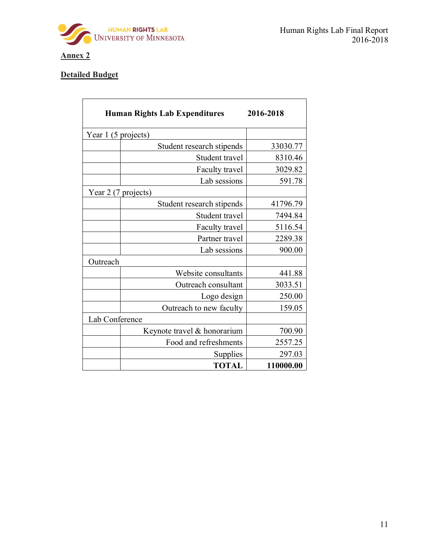

# **Annex 2**

# **Detailed Budget**

|                     | <b>Human Rights Lab Expenditures</b> | 2016-2018 |
|---------------------|--------------------------------------|-----------|
| Year 1 (5 projects) |                                      |           |
|                     | Student research stipends            | 33030.77  |
|                     | Student travel                       | 8310.46   |
|                     | Faculty travel                       | 3029.82   |
|                     | Lab sessions                         | 591.78    |
| Year 2 (7 projects) |                                      |           |
|                     | Student research stipends            | 41796.79  |
|                     | Student travel                       | 7494.84   |
|                     | Faculty travel                       | 5116.54   |
|                     | Partner travel                       | 2289.38   |
|                     | Lab sessions                         | 900.00    |
| Outreach            |                                      |           |
|                     | Website consultants                  | 441.88    |
|                     | Outreach consultant                  | 3033.51   |
|                     | Logo design                          | 250.00    |
|                     | Outreach to new faculty              | 159.05    |
| Lab Conference      |                                      |           |
|                     | Keynote travel & honorarium          | 700.90    |
|                     | Food and refreshments                | 2557.25   |
|                     | Supplies                             | 297.03    |
|                     | <b>TOTAL</b>                         | 110000.00 |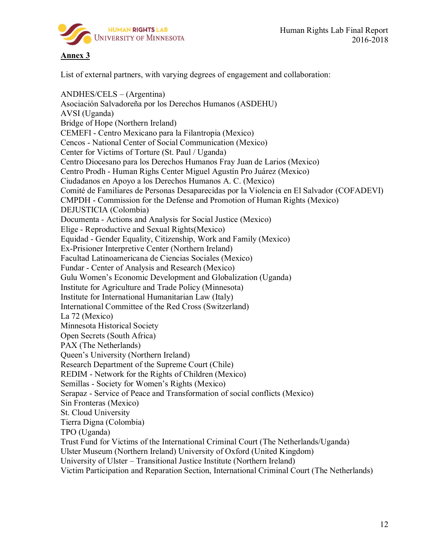

Human Rights Lab Final Report 2016-2018

### **Annex 3**

List of external partners, with varying degrees of engagement and collaboration:

ANDHES/CELS – (Argentina) Asociación Salvadoreña por los Derechos Humanos (ASDEHU) AVSI (Uganda) Bridge of Hope (Northern Ireland) CEMEFI - Centro Mexicano para la Filantropia (Mexico) Cencos - National Center of Social Communication (Mexico) Center for Victims of Torture (St. Paul / Uganda) Centro Diocesano para los Derechos Humanos Fray Juan de Larios (Mexico) Centro Prodh - Human Righs Center Miguel Agustín Pro Juárez (Mexico) Ciudadanos en Apoyo a los Derechos Humanos A. C. (Mexico) Comité de Familiares de Personas Desaparecidas por la Violencia en El Salvador (COFADEVI) CMPDH - Commission for the Defense and Promotion of Human Rights (Mexico) DEJUSTICIA (Colombia) Documenta - Actions and Analysis for Social Justice (Mexico) Elige - Reproductive and Sexual Rights(Mexico) Equidad - Gender Equality, Citizenship, Work and Family (Mexico) Ex-Prisioner Interpretive Center (Northern Ireland) Facultad Latinoamericana de Ciencias Sociales (Mexico) Fundar - Center of Analysis and Research (Mexico) Gulu Women's Economic Development and Globalization (Uganda) Institute for Agriculture and Trade Policy (Minnesota) Institute for International Humanitarian Law (Italy) International Committee of the Red Cross (Switzerland) La 72 (Mexico) Minnesota Historical Society Open Secrets (South Africa) PAX (The Netherlands) Queen's University (Northern Ireland) Research Department of the Supreme Court (Chile) REDIM - Network for the Rights of Children (Mexico) Semillas - Society for Women's Rights (Mexico) Serapaz - Service of Peace and Transformation of social conflicts (Mexico) Sin Fronteras (Mexico) St. Cloud University Tierra Digna (Colombia) TPO (Uganda) Trust Fund for Victims of the International Criminal Court (The Netherlands/Uganda) Ulster Museum (Northern Ireland) University of Oxford (United Kingdom) University of Ulster – Transitional Justice Institute (Northern Ireland) Victim Participation and Reparation Section, International Criminal Court (The Netherlands)